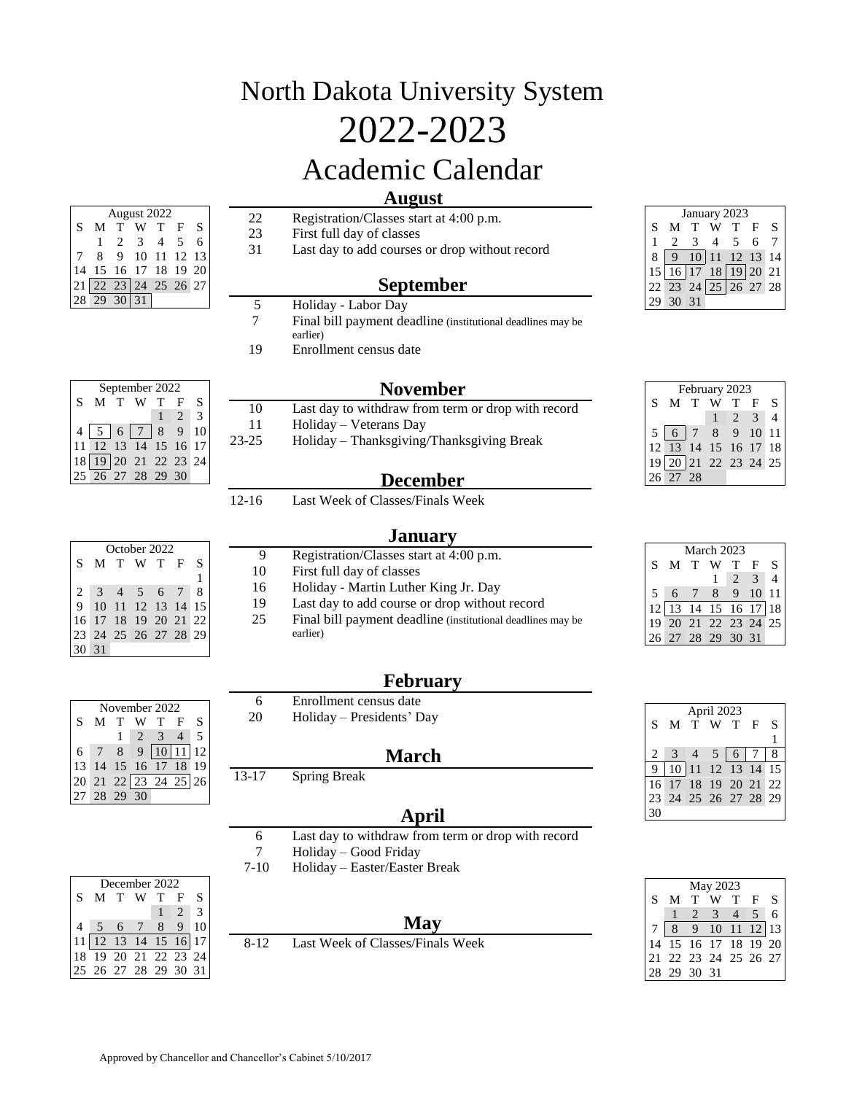## North Dakota University System 2022-2023 Academic Calendar

## **August**

 Registration/Classes start at 4:00 p.m. First full day of classes Last day to add courses or drop without record **September** 5 Holiday - Labor Day<br>7 Final bill payment de Final bill payment deadline (institutional deadlines may be August 2022 S M T W T F S 2 3 4 5 6 8 9 10 11 12 13 15 16 17 18 19 20 22 23 24 25 26 27 29 30 31

earlier)

Enrollment census date

Holiday – Veterans Day

First full day of classes

earlier)

|    | January 2023 |    |                                                     |      |   |   |  |  |  |  |
|----|--------------|----|-----------------------------------------------------|------|---|---|--|--|--|--|
| S  |              |    |                                                     |      | F | S |  |  |  |  |
|    |              | 3  |                                                     | $-5$ | 6 |   |  |  |  |  |
|    |              |    | $10\begin{pmatrix} 11 & 12 & 13 & 14 \end{pmatrix}$ |      |   |   |  |  |  |  |
| 15 |              |    | 16 17 18 19 20 21                                   |      |   |   |  |  |  |  |
|    |              |    | 22 23 24 25 26 27 28                                |      |   |   |  |  |  |  |
|    | 30           | 31 |                                                     |      |   |   |  |  |  |  |

|   | February 2023        |  |  |              |  |                             |  |  |  |
|---|----------------------|--|--|--------------|--|-----------------------------|--|--|--|
| S | M T W                |  |  | T F          |  | <sup>S</sup>                |  |  |  |
|   |                      |  |  | $\sqrt{2}$ 3 |  | $\boldsymbol{\vartriangle}$ |  |  |  |
|   | 5 6 7 8 9 10 11      |  |  |              |  |                             |  |  |  |
|   | 12 13 14 15 16 17 18 |  |  |              |  |                             |  |  |  |
|   | 19 20 21 22 23 24 25 |  |  |              |  |                             |  |  |  |
|   | $26\overline{27}$ 28 |  |  |              |  |                             |  |  |  |

| M T                                                                                                                         |  | T F              | S |  |
|-----------------------------------------------------------------------------------------------------------------------------|--|------------------|---|--|
|                                                                                                                             |  | $2 \overline{3}$ |   |  |
| $\begin{array}{ c c c c c c c c }\n\hline\n6 & 7 & 8 & 9 & 10 & 11 \\ \hline\n2 & 13 & 14 & 15 & 16 & 17 & 18\n\end{array}$ |  |                  |   |  |
|                                                                                                                             |  |                  |   |  |
| $9\overline{20}$ 21 22 23 24 25                                                                                             |  |                  |   |  |
| $\sqrt{27}$ 28                                                                                                              |  |                  |   |  |
|                                                                                                                             |  |                  |   |  |

|   |                      | March 2023 |                |               |                |
|---|----------------------|------------|----------------|---------------|----------------|
| S | M T                  | W          | $\mathbf T$    | $\mathbf{F}$  | S              |
|   |                      |            | $\overline{2}$ | $\mathcal{R}$ | $\overline{4}$ |
| 5 | 6                    | 8          | 9              | 10            | 11             |
|   | 12 13 14 15 16 17 18 |            |                |               |                |
|   | 19 20 21 22 23 24 25 |            |                |               |                |
|   | 26 27 28 29 30 31    |            |                |               |                |

|    |                   |    | April 2023                               |                 |    |                 |
|----|-------------------|----|------------------------------------------|-----------------|----|-----------------|
| S  | M                 | T. | W                                        | $\mathbf{T}$    | -F | S               |
|    |                   |    |                                          |                 |    |                 |
|    |                   |    | 5                                        | $6\overline{6}$ |    | 8               |
|    |                   |    | $\overline{10}$ 11 12 $\overline{13}$ 14 |                 |    | 15 <sup>1</sup> |
| 16 | 17 18 19 20 21 22 |    |                                          |                 |    |                 |
|    |                   |    | 24 25 26 27 28 29                        |                 |    |                 |
|    |                   |    |                                          |                 |    |                 |

|    |    |             | May 2023                         |        |                          |   |
|----|----|-------------|----------------------------------|--------|--------------------------|---|
| S  | M  |             |                                  | $\top$ | $\mathbf{F}$             | S |
|    |    | $2^{\circ}$ | $\overline{\mathbf{3}}$          |        | $\overline{\phantom{0}}$ | 6 |
|    | 8  |             | 9 10 11 12 13                    |        |                          |   |
|    |    |             | $15$ 16 $\overline{17}$ 18 19 20 |        |                          |   |
| 21 |    |             | 22 23 24 25 26 27                |        |                          |   |
|    | 29 | 30 31       |                                  |        |                          |   |

| September 2022 |                                                                         |   |                          |  |                |   |  |  |
|----------------|-------------------------------------------------------------------------|---|--------------------------|--|----------------|---|--|--|
| S              |                                                                         | T |                          |  | F              | S |  |  |
|                |                                                                         |   |                          |  |                |   |  |  |
|                |                                                                         |   | 5 6 7 8                  |  | 9 <sup>7</sup> |   |  |  |
|                | $\frac{12}{19}$ 13 $\overline{14}$ 15 16<br>$\overline{19}$ 20 21 22 23 |   |                          |  |                |   |  |  |
| 18             |                                                                         |   |                          |  |                |   |  |  |
|                |                                                                         |   | $\overline{26}$ 27 28 29 |  |                |   |  |  |

| <b>December</b> |
|-----------------|
|                 |

**January**

23-25 Holiday – Thanksgiving/Thanksgiving Break

Registration/Classes start at 4:00 p.m.

 Holiday - Martin Luther King Jr. Day Last day to add course or drop without record Final bill payment deadline (institutional deadlines may be

**November** Last day to withdraw from term or drop with record

12-16 Last Week of Classes/Finals Week

| October 2022 |  |  |                      |  |  |   |  |  |  |
|--------------|--|--|----------------------|--|--|---|--|--|--|
|              |  |  | S M T W T F          |  |  | S |  |  |  |
|              |  |  |                      |  |  | 1 |  |  |  |
|              |  |  | 2 3 4 5 6 7          |  |  | 8 |  |  |  |
|              |  |  | 9 10 11 12 13 14 15  |  |  |   |  |  |  |
|              |  |  | 16 17 18 19 20 21 22 |  |  |   |  |  |  |
|              |  |  | 23 24 25 26 27 28 29 |  |  |   |  |  |  |
| 30 31        |  |  |                      |  |  |   |  |  |  |

November 2022 S M T W T F S  $1 \quad 2 \quad 3 \quad 4 \quad 5$  7 8 9 10 11 12 14 15 16 17 18 19 21 22 23 24 25 26

28 29 30

## **February**

|              | 6     | Enrollment census date    |  |  |  |  |  |  |  |
|--------------|-------|---------------------------|--|--|--|--|--|--|--|
|              | 20    | Holiday – Presidents' Day |  |  |  |  |  |  |  |
|              |       |                           |  |  |  |  |  |  |  |
| <b>March</b> |       |                           |  |  |  |  |  |  |  |
|              | 13-17 | <b>Spring Break</b>       |  |  |  |  |  |  |  |
|              |       |                           |  |  |  |  |  |  |  |
| April        |       |                           |  |  |  |  |  |  |  |

Last day to withdraw from term or drop with record

**May**

Holiday – Good Friday

7-10 Holiday – Easter/Easter Break

|   | December 2022        |       |                 |   |                |    |  |  |  |
|---|----------------------|-------|-----------------|---|----------------|----|--|--|--|
| S |                      | M T W |                 | T | $\mathbf{F}$   | S  |  |  |  |
|   |                      |       |                 |   | $\overline{2}$ | 3  |  |  |  |
|   | 5                    | - 6   | $7\overline{ }$ | 8 | 9              | 10 |  |  |  |
|   | 11 12 13 14 15 16 17 |       |                 |   |                |    |  |  |  |
|   | 18 19 20 21 22 23 24 |       |                 |   |                |    |  |  |  |
|   | 25 26 27 28 29 30 31 |       |                 |   |                |    |  |  |  |

|  | 171a y                 |  |
|--|------------------------|--|
|  | Veek of Classes/Finals |  |

8-12 Last Week of Classes/Finals Week